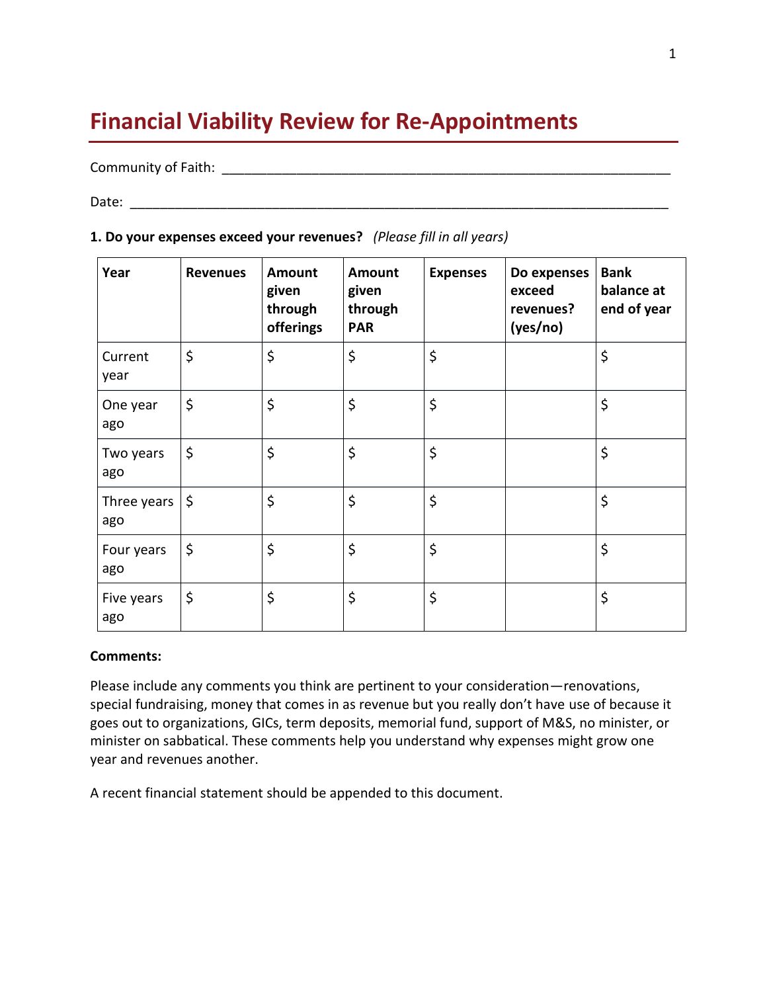# **Financial Viability Review for Re-Appointments**

### Community of Faith: **Example 2018**

Date: \_\_\_\_\_\_\_\_\_\_\_\_\_\_\_\_\_\_\_\_\_\_\_\_\_\_\_\_\_\_\_\_\_\_\_\_\_\_\_\_\_\_\_\_\_\_\_\_\_\_\_\_\_\_\_\_\_\_\_\_\_\_\_\_\_\_\_\_\_\_\_\_

| Year               | <b>Revenues</b> | Amount<br>given<br>through<br>offerings | Amount<br>given<br>through<br><b>PAR</b> | <b>Expenses</b> | Do expenses<br>exceed<br>revenues?<br>(yes/no) | <b>Bank</b><br>balance at<br>end of year |
|--------------------|-----------------|-----------------------------------------|------------------------------------------|-----------------|------------------------------------------------|------------------------------------------|
| Current<br>year    | \$              | \$                                      | \$                                       | \$              |                                                | \$                                       |
| One year<br>ago    | \$              | \$                                      | \$                                       | \$              |                                                | \$                                       |
| Two years<br>ago   | $\zeta$         | \$                                      | \$                                       | \$              |                                                | \$                                       |
| Three years<br>ago | $\zeta$         | \$                                      | \$                                       | \$              |                                                | \$                                       |
| Four years<br>ago  | \$              | \$                                      | \$                                       | \$              |                                                | \$                                       |
| Five years<br>ago  | $\zeta$         | \$                                      | \$                                       | \$              |                                                | \$                                       |

### **1. Do your expenses exceed your revenues?** *(Please fill in all years)*

#### **Comments:**

Please include any comments you think are pertinent to your consideration—renovations, special fundraising, money that comes in as revenue but you really don't have use of because it goes out to organizations, GICs, term deposits, memorial fund, support of M&S, no minister, or minister on sabbatical. These comments help you understand why expenses might grow one year and revenues another.

A recent financial statement should be appended to this document.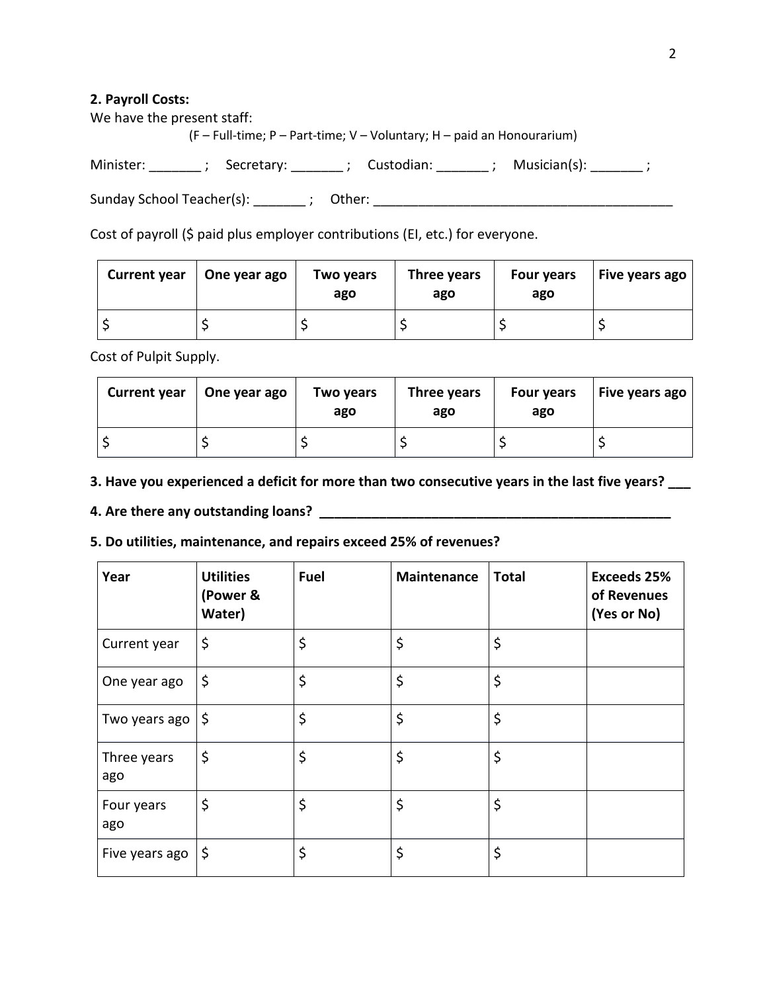#### **2. Payroll Costs:**

We have the present staff:

(F – Full-time; P – Part-time; V – Voluntary; H – paid an Honourarium)

Minister: \_\_\_\_\_\_\_\_ ; Secretary: \_\_\_\_\_\_\_\_ ; Custodian: \_\_\_\_\_\_\_\_ ; Musician(s): \_\_\_\_\_\_\_ ;

Sunday School Teacher(s): \_\_\_\_\_\_\_ ; Other: \_\_\_\_\_\_\_\_\_\_\_\_\_\_\_\_\_\_\_\_\_\_\_\_\_\_\_\_\_\_\_\_\_\_\_\_\_\_\_\_

Cost of payroll (\$ paid plus employer contributions (EI, etc.) for everyone.

| <b>Current year</b> | One year ago | Two years<br>ago | Three years<br>ago | <b>Four years</b><br>ago | <b>Five years ago</b> |
|---------------------|--------------|------------------|--------------------|--------------------------|-----------------------|
|                     |              |                  |                    |                          |                       |

Cost of Pulpit Supply.

| <b>Current year</b> | $\vert$ One year ago | Two years<br>ago | Three years<br>ago | Four years<br>ago | <b>Five years ago</b> |
|---------------------|----------------------|------------------|--------------------|-------------------|-----------------------|
|                     |                      |                  |                    |                   |                       |

**3. Have you experienced a deficit for more than two consecutive years in the last five years? \_\_\_**

## **4. Are there any outstanding loans? \_\_\_\_\_\_\_\_\_\_\_\_\_\_\_\_\_\_\_\_\_\_\_\_\_\_\_\_\_\_\_\_\_\_\_\_\_\_\_\_\_\_\_\_\_\_\_**

### **5. Do utilities, maintenance, and repairs exceed 25% of revenues?**

| Year               | <b>Utilities</b><br>(Power &<br>Water) | <b>Fuel</b> | Maintenance | <b>Total</b> | <b>Exceeds 25%</b><br>of Revenues<br>(Yes or No) |
|--------------------|----------------------------------------|-------------|-------------|--------------|--------------------------------------------------|
| Current year       | \$                                     | \$          | \$          | \$           |                                                  |
| One year ago       | \$                                     | \$          | \$          | \$           |                                                  |
| Two years ago      | \$                                     | \$          | \$          | \$           |                                                  |
| Three years<br>ago | \$                                     | \$          | \$          | \$           |                                                  |
| Four years<br>ago  | \$                                     | \$          | \$          | \$           |                                                  |
| Five years ago     | \$                                     | \$          | \$          | \$           |                                                  |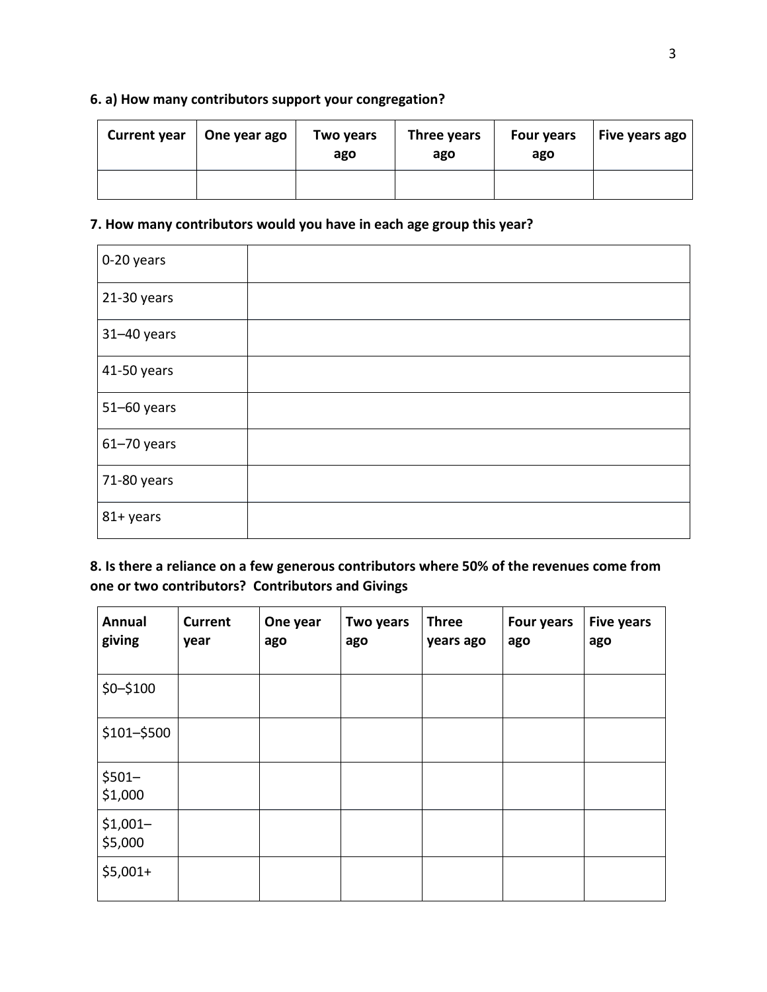# **6. a) How many contributors support your congregation?**

| <b>Current year</b> | One year ago | Two years<br>ago | Three years<br>ago | <b>Four years</b><br>ago | Five years ago |
|---------------------|--------------|------------------|--------------------|--------------------------|----------------|
|                     |              |                  |                    |                          |                |

## **7. How many contributors would you have in each age group this year?**

| 0-20 years      |  |
|-----------------|--|
| 21-30 years     |  |
| $31 - 40$ years |  |
| 41-50 years     |  |
| 51-60 years     |  |
| $61 - 70$ years |  |
| 71-80 years     |  |
| 81+ years       |  |

**8. Is there a reliance on a few generous contributors where 50% of the revenues come from one or two contributors? Contributors and Givings** 

| Annual<br>giving     | <b>Current</b><br>year | One year<br>ago | Two years<br>ago | <b>Three</b><br>years ago | <b>Four years</b><br>ago | <b>Five years</b><br>ago |
|----------------------|------------------------|-----------------|------------------|---------------------------|--------------------------|--------------------------|
| \$0-\$100            |                        |                 |                  |                           |                          |                          |
| \$101-\$500          |                        |                 |                  |                           |                          |                          |
| $$501-$<br>\$1,000   |                        |                 |                  |                           |                          |                          |
| $$1,001-$<br>\$5,000 |                        |                 |                  |                           |                          |                          |
| $$5,001+$            |                        |                 |                  |                           |                          |                          |